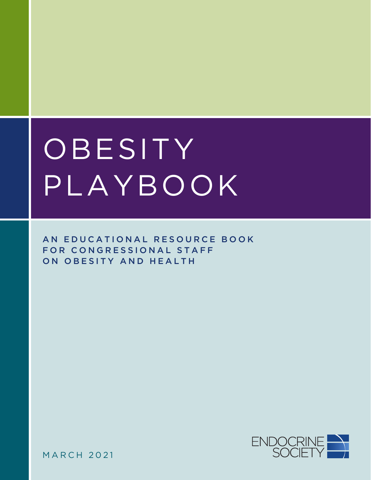# OBESITY PLAYBOOK

AN EDUCATIONAL RESOURCE BOOK FOR CONGRESSIONAL STAFF ON OBESITY AND HEALTH

ENDOCRINE

MARCH 2021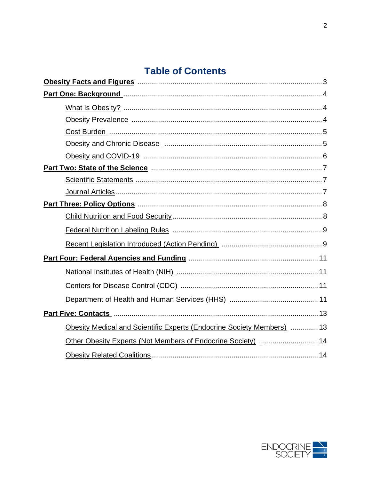# **Table of Contents**

| Obesity Medical and Scientific Experts (Endocrine Society Members)  13 |  |
|------------------------------------------------------------------------|--|
| Other Obesity Experts (Not Members of Endocrine Society)  14           |  |
|                                                                        |  |

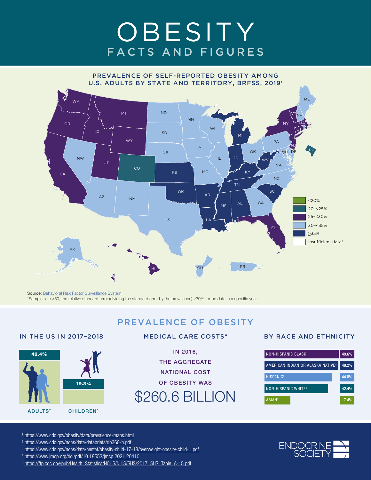# **OBESITY** FACTS AND FIGURES

<span id="page-2-0"></span>

Source: Behavioral Risk Factor Surveillance System \*Sample size <50, the relative standard error (dividing the standard error by the prevalence) ≥30%, or no data in a specific year.



#### MEDICAL CARE COSTS4

PREVALENCE OF OBESITY

IN 2016, THE AGGREGATE NATIONAL COST OF OBESITY WAS \$260.6 BILLION

#### BY RACE AND ETHNICITY



<sup>1</sup> https://www.cdc.gov/obesity/data/prevalence-maps.html

- <sup>2</sup> https://www.cdc.gov/nchs/data/databriefs/db360-h.pdf
- <sup>3</sup> https://www.cdc.gov/nchs/data/hestat/obesity-child-17-18/overweight-obesity-child-H.pdf
- <sup>4</sup> https://www.jmcp.org/doi/pdf/10.18553/jmcp.2021.20410
- <sup>5</sup> https://ftp.cdc.gov/pub/Health\_Statistics/NCHS/NHIS/SHS/2017\_SHS\_Table\_A-15.pdf

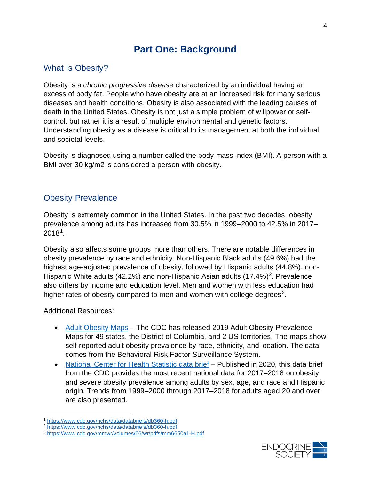# **Part One: Background**

# <span id="page-3-1"></span><span id="page-3-0"></span>What Is Obesity?

Obesity is a *chronic progressive disease* characterized by an individual having an excess of body fat. People who have obesity are at an increased risk for many serious diseases and health conditions. Obesity is also associated with the leading causes of death in the United States. Obesity is not just a simple problem of willpower or selfcontrol, but rather it is a result of multiple environmental and genetic factors. Understanding obesity as a disease is critical to its management at both the individual and societal levels.

Obesity is diagnosed using a number called the body mass index (BMI). A person with a BMI over 30 kg/m2 is considered a person with obesity.

## <span id="page-3-2"></span>Obesity Prevalence

Obesity is extremely common in the United States. In the past two decades, obesity prevalence among adults has increased from 30.5% in 1999–2000 to 42.5% in 2017–  $2018<sup>1</sup>$  $2018<sup>1</sup>$  $2018<sup>1</sup>$ .

Obesity also affects some groups more than others. There are notable differences in obesity prevalence by race and ethnicity. Non-Hispanic Black adults (49.6%) had the highest age-adjusted prevalence of obesity, followed by Hispanic adults (44.8%), non-Hispanic White adults (4[2](#page-3-4).2%) and non-Hispanic Asian adults  $(17.4\%)^2$ . Prevalence also differs by income and education level. Men and women with less education had higher rates of obesity compared to men and women with college degrees<sup>[3](#page-3-5)</sup>.

Additional Resources:

- [Adult Obesity Maps](https://www.cdc.gov/obesity/data/prevalence-maps.html) The CDC has released 2019 Adult Obesity Prevalence Maps for 49 states, the District of Columbia, and 2 US territories. The maps show self-reported adult obesity prevalence by race, ethnicity, and location. The data comes from the Behavioral Risk Factor Surveillance System.
- [National Center for Health Statistic data brief](https://www.cdc.gov/nchs/data/databriefs/db360-h.pdf) Published in 2020, this data brief from the CDC provides the most recent national data for 2017–2018 on obesity and severe obesity prevalence among adults by sex, age, and race and Hispanic origin. Trends from 1999–2000 through 2017–2018 for adults aged 20 and over are also presented.



<span id="page-3-3"></span><sup>1</sup> <https://www.cdc.gov/nchs/data/databriefs/db360-h.pdf>

<span id="page-3-4"></span><sup>2</sup> <https://www.cdc.gov/nchs/data/databriefs/db360-h.pdf>

<span id="page-3-5"></span><sup>3</sup> <https://www.cdc.gov/mmwr/volumes/66/wr/pdfs/mm6650a1-H.pdf>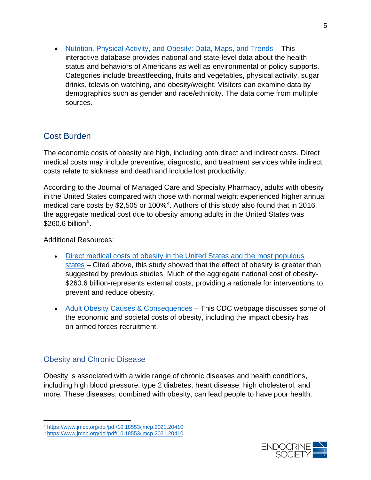• [Nutrition, Physical Activity, and Obesity: Data, Maps, and Trends](https://www.cdc.gov/nccdphp/dnpao/data-trends-maps/index.html) - This interactive database provides national and state-level data about the health status and behaviors of Americans as well as environmental or policy supports. Categories include breastfeeding, fruits and vegetables, physical activity, sugar drinks, television watching, and obesity/weight. Visitors can examine data by demographics such as gender and race/ethnicity. The data come from multiple sources.

# <span id="page-4-0"></span>Cost Burden

The economic costs of obesity are high, including both direct and indirect costs. Direct medical costs may include preventive, diagnostic, and treatment services while indirect costs relate to sickness and death and include lost productivity.

According to the Journal of Managed Care and Specialty Pharmacy, adults with obesity in the United States compared with those with normal weight experienced higher annual medical care costs by \$2,505 or 100%<sup>[4](#page-4-2)</sup>. Authors of this study also found that in 2016, the aggregate medical cost due to obesity among adults in the United States was  $$260.6$  billion<sup>[5](#page-4-3)</sup>.

Additional Resources:

- Direct medical costs of obesity in the United States and the most populous [states](https://www.jmcp.org/doi/pdf/10.18553/jmcp.2021.20410) – Cited above, this study showed that the effect of obesity is greater than suggested by previous studies. Much of the aggregate national cost of obesity- \$260.6 billion-represents external costs, providing a rationale for interventions to prevent and reduce obesity.
- [Adult Obesity Causes & Consequences](https://www.cdc.gov/obesity/adult/causes.html) This CDC webpage discusses some of the economic and societal costs of obesity, including the impact obesity has on armed forces recruitment.

#### <span id="page-4-1"></span>Obesity and Chronic Disease

Obesity is associated with a wide range of chronic diseases and health conditions, including high blood pressure, type 2 diabetes, heart disease, high cholesterol, and more. These diseases, combined with obesity, can lead people to have poor health,

<span id="page-4-2"></span><sup>4</sup> <https://www.jmcp.org/doi/pdf/10.18553/jmcp.2021.20410>

<span id="page-4-3"></span><sup>5</sup> <https://www.jmcp.org/doi/pdf/10.18553/jmcp.2021.20410>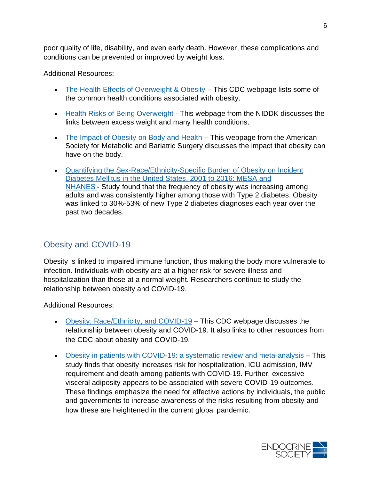poor quality of life, disability, and even early death. However, these complications and conditions can be prevented or improved by weight loss.

Additional Resources:

- [The Health Effects of Overweight & Obesity](https://www.cdc.gov/healthyweight/effects/index.html) This CDC webpage lists some of the common health conditions associated with obesity.
- [Health Risks of Being Overweight](https://www.niddk.nih.gov/health-information/weight-management/health-risks-overweight) This webpage from the NIDDK discusses the links between excess weight and many health conditions.
- [The Impact of Obesity on Body and Health](https://asmbs.org/patients/impact-of-obesity) This webpage from the American Society for Metabolic and Bariatric Surgery discusses the impact that obesity can have on the body.
- Quantifying the Sex-Race/Ethnicity-Specific Burden of Obesity on Incident [Diabetes Mellitus in the United States, 2001 to 2016: MESA and](https://www.ahajournals.org/doi/full/10.1161/JAHA.120.018799)  [NHANES](https://www.ahajournals.org/doi/full/10.1161/JAHA.120.018799)- Study found that the frequency of obesity was increasing among adults and was consistently higher among those with Type 2 diabetes. Obesity was linked to 30%-53% of new Type 2 diabetes diagnoses each year over the past two decades.

# <span id="page-5-0"></span>Obesity and COVID-19

Obesity is linked to impaired immune function, thus making the body more vulnerable to infection. Individuals with obesity are at a higher risk for severe illness and hospitalization than those at a normal weight. Researchers continue to study the relationship between obesity and COVID-19.

Additional Resources:

- [Obesity, Race/Ethnicity, and COVID-19](https://www.cdc.gov/obesity/data/obesity-and-covid-19.html) This CDC webpage discusses the relationship between obesity and COVID-19. It also links to other resources from the CDC about obesity and COVID-19.
- [Obesity in patients with COVID-19: a systematic review and meta-analysis](https://www.ncbi.nlm.nih.gov/pmc/articles/PMC7521361/) This study finds that obesity increases risk for hospitalization, ICU admission, IMV requirement and death among patients with COVID-19. Further, excessive visceral adiposity appears to be associated with severe COVID-19 outcomes. These findings emphasize the need for effective actions by individuals, the public and governments to increase awareness of the risks resulting from obesity and how these are heightened in the current global pandemic.

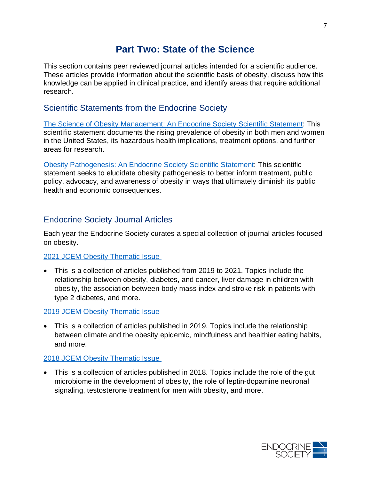# **Part Two: State of the Science**

<span id="page-6-0"></span>This section contains peer reviewed journal articles intended for a scientific audience. These articles provide information about the scientific basis of obesity, discuss how this knowledge can be applied in clinical practice, and identify areas that require additional research.

#### <span id="page-6-1"></span>Scientific Statements from the Endocrine Society

[The Science of Obesity Management: An Endocrine Society Scientific Statement:](https://academic.oup.com/edrv/article/39/2/79/4922247) This scientific statement documents the rising prevalence of obesity in both men and women in the United States, its hazardous health implications, treatment options, and further areas for research.

[Obesity Pathogenesis: An Endocrine Society Scientific Statement:](https://academic.oup.com/edrv/article/38/4/267/3892397) This scientific statement seeks to elucidate obesity pathogenesis to better inform treatment, public policy, advocacy, and awareness of obesity in ways that ultimately diminish its public health and economic consequences.

#### <span id="page-6-2"></span>Endocrine Society Journal Articles

Each year the Endocrine Society curates a special collection of journal articles focused on obesity.

#### [2021 JCEM Obesity Thematic Issue](https://academic.oup.com/endocrinesociety/pages/thematic-issue-obesity-2021)

• This is a collection of articles published from 2019 to 2021. Topics include the relationship between obesity, diabetes, and cancer, liver damage in children with obesity, the association between body mass index and stroke risk in patients with type 2 diabetes, and more.

#### 2019 [JCEM Obesity Thematic Issue](https://academic.oup.com/endocrinesociety/pages/thematic-issue-obesity-2019)

• This is a collection of articles published in 2019. Topics include the relationship between climate and the obesity epidemic, mindfulness and healthier eating habits, and more.

#### [2018 JCEM Obesity Thematic Issue](https://academic.oup.com/endocrinesociety/pages/thematic_issue_obesity)

• This is a collection of articles published in 2018. Topics include the role of the gut microbiome in the development of obesity, the role of leptin-dopamine neuronal signaling, testosterone treatment for men with obesity, and more.

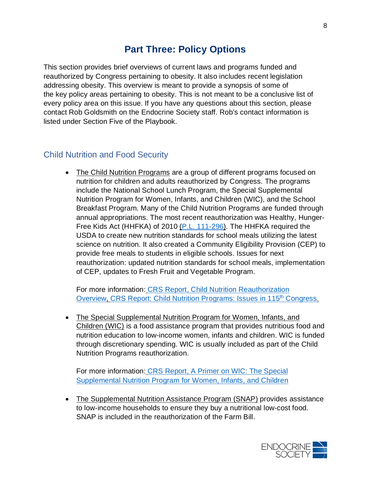# **Part Three: Policy Options**

<span id="page-7-0"></span>This section provides brief overviews of current laws and programs funded and reauthorized by Congress pertaining to obesity. It also includes recent legislation addressing obesity. This overview is meant to provide a synopsis of some of the key policy areas pertaining to obesity. This is not meant to be a conclusive list of every policy area on this issue. If you have any questions about this section, please contact Rob Goldsmith on the Endocrine Society staff. Rob's contact information is listed under Section Five of the Playbook.

#### <span id="page-7-1"></span>Child Nutrition and Food Security

• The Child Nutrition Programs are a group of different programs focused on nutrition for children and adults reauthorized by Congress. The programs include the National School Lunch Program, the Special Supplemental Nutrition Program for Women, Infants, and Children (WIC), and the School Breakfast Program. Many of the Child Nutrition Programs are funded through annual appropriations. The most recent reauthorization was Healthy, Hunger-Free Kids Act (HHFKA) of 2010 [\(P.L. 111-296\)](https://www.govinfo.gov/content/pkg/PLAW-111publ296/pdf/PLAW-111publ296.pdf). The HHFKA required the USDA to create new nutrition standards for school meals utilizing the latest science on nutrition. It also created a Community Eligibility Provision (CEP) to provide free meals to students in eligible schools. Issues for next reauthorization: updated nutrition standards for school meals, implementation of CEP, updates to Fresh Fruit and Vegetable Program.

For more information: [CRS Report, Child Nutrition Reauthorization](https://crsreports.congress.gov/product/pdf/IF/IF10266)  [Overview,](https://crsreports.congress.gov/product/pdf/IF/IF10266) CRS Report: Child Nutrition Programs: Issues in 115<sup>th</sup> Congress.

• The Special Supplemental Nutrition Program for Women, Infants, and Children (WIC) is a food assistance program that provides nutritious food and nutrition education to low-income women, infants and children. WIC is funded through discretionary spending. WIC is usually included as part of the Child Nutrition Programs reauthorization.

For more information: [CRS Report, A Primer on WIC: The Special](https://crsreports.congress.gov/product/pdf/R/R44115)  [Supplemental Nutrition Program for Women, Infants, and Children](https://crsreports.congress.gov/product/pdf/R/R44115)

• The Supplemental Nutrition Assistance Program (SNAP) provides assistance to low-income households to ensure they buy a nutritional low-cost food. SNAP is included in the reauthorization of the Farm Bill.

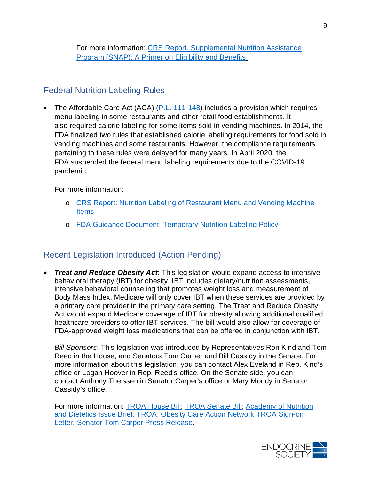For more information: [CRS Report, Supplemental Nutrition Assistance](https://crsreports.congress.gov/product/pdf/R/R42505)  [Program \(SNAP\): A Primer on Eligibility and Benefits](https://crsreports.congress.gov/product/pdf/R/R42505)

### <span id="page-8-0"></span>Federal Nutrition Labeling Rules

• The Affordable Care Act (ACA)  $(P.L. 111-148)$  includes a provision which requires menu labeling in some restaurants and other retail food establishments. It also required calorie labeling for some items sold in vending machines. In 2014, the FDA finalized two rules that established calorie labeling requirements for food sold in vending machines and some restaurants. However, the compliance requirements pertaining to these rules were delayed for many years. In April 2020, the FDA suspended the federal menu labeling requirements due to the COVID-19 pandemic.

For more information:

- o CRS Report: [Nutrition Labeling of Restaurant Menu and](https://crsreports.congress.gov/product/pdf/R/R44272) Vending Machine [Items](https://crsreports.congress.gov/product/pdf/R/R44272)
- o FDA [Guidance Document, Temporary](https://www.fda.gov/regulatory-information/search-fda-guidance-documents/temporary-policy-regarding-nutrition-labeling-standard-menu-items-chain-restaurants-and-similar) Nutrition Labeling Policy

# <span id="page-8-1"></span>Recent Legislation Introduced (Action Pending)

• *Treat and Reduce Obesity Act*: This legislation would expand access to intensive behavioral therapy (IBT) for obesity. IBT includes dietary/nutrition assessments, intensive behavioral counseling that promotes weight loss and measurement of Body Mass Index. Medicare will only cover IBT when these services are provided by a primary care provider in the primary care setting. The Treat and Reduce Obesity Act would expand Medicare coverage of IBT for obesity allowing additional qualified healthcare providers to offer IBT services. The bill would also allow for coverage of FDA-approved weight loss medications that can be offered in conjunction with IBT.

*Bill Sponsors*: This legislation was introduced by Representatives Ron Kind and Tom Reed in the House, and Senators Tom Carper and Bill Cassidy in the Senate. For more information about this legislation, you can contact Alex Eveland in Rep. Kind's office or Logan Hoover in Rep. Reed's office. On the Senate side, you can contact Anthony Theissen in Senator Carper's office or Mary Moody in Senator Cassidy's office.

For more information: [TROA House Bill;](https://www.congress.gov/bill/117th-congress/house-bill/1577?q=%7B%22search%22%3A%5B%22hr+1577%22%5D%7D&s=2&r=1) [TROA Senate Bill;](https://www.congress.gov/bill/117th-congress/senate-bill/596?q=%7B%22search%22%3A%5B%22s+596%22%5D%7D&s=3&r=1) [Academy of Nutrition](https://www.eatrightpro.org/-/media/eatrightpro-files/advocacy/troaissuebrief-2019.pdf?la=en&hash=5B2887955411A60ED38FCB665E1894F50185373A)  [and Dietetics Issue Brief: TROA,](https://www.eatrightpro.org/-/media/eatrightpro-files/advocacy/troaissuebrief-2019.pdf?la=en&hash=5B2887955411A60ED38FCB665E1894F50185373A) [Obesity Care Action Network TROA Sign-on](https://www.endocrine.org/advocacy/society-letters/2020/ocan-obesity-and-covid19-letter)  [Letter,](https://www.endocrine.org/advocacy/society-letters/2020/ocan-obesity-and-covid19-letter) Senator Tom Carper [Press Release.](https://www.carper.senate.gov/public/index.cfm/pressreleases?ID=81E1EEE7-0D9E-4690-9DA7-704D75CDF058)

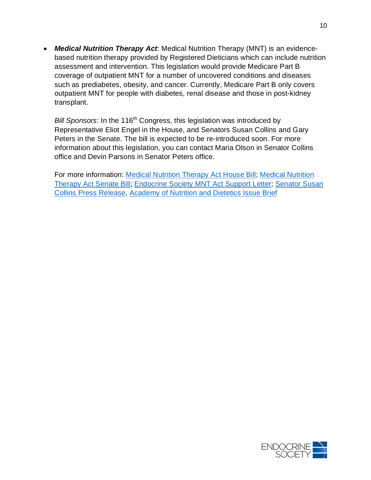• *Medical Nutrition Therapy Act*: Medical Nutrition Therapy (MNT) is an evidencebased nutrition therapy provided by Registered Dieticians which can include nutrition assessment and intervention. This legislation would provide Medicare Part B coverage of outpatient MNT for a number of uncovered conditions and diseases such as prediabetes, obesity, and cancer. Currently, Medicare Part B only covers outpatient MNT for people with diabetes, renal disease and those in post-kidney transplant.

*Bill Sponsors*: In the 116<sup>th</sup> Congress, this legislation was introduced by Representative Eliot Engel in the House, and Senators Susan Collins and Gary Peters in the Senate. The bill is expected to be re-introduced soon. For more information about this legislation, you can contact Maria Olson in Senator Collins office and Devin Parsons in Senator Peters office.

For more information: [Medical Nutrition Therapy Act House Bill;](https://www.congress.gov/bill/116th-congress/house-bill/6971?q=%7B%22search%22%3A%5B%22Medical+Nutrition+Therapy+Act+of+2020%22%5D%7D&s=7&r=8) [Medical Nutrition](https://www.congress.gov/bill/116th-congress/senate-bill/4504)  [Therapy Act Senate Bill;](https://www.congress.gov/bill/116th-congress/senate-bill/4504) [Endocrine Society MNT Act Support Letter;](https://www.endocrine.org/advocacy/society-letters/2020/letter-of-support-for-the-medical-nutrition-therapy-act) [Senator Susan](https://www.collins.senate.gov/newsroom/senators-collins-peters-introduce-legislation-improve-disease-management-prevention-seniors)  [Collins Press Release,](https://www.collins.senate.gov/newsroom/senators-collins-peters-introduce-legislation-improve-disease-management-prevention-seniors) [Academy of Nutrition and Dietetics Issue Brief](https://www.eatrightpro.org/-/media/eatrightpro-files/advocacy/legislation/mntactissuebrief2020.pdf?la=en&hash=1FEDA6DD3B06648887B80A1D8426D1C6584AF3C9)

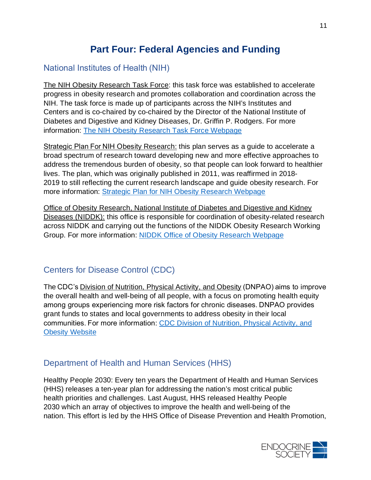# **Part Four: Federal Agencies and Funding**

# <span id="page-10-1"></span><span id="page-10-0"></span>National Institutes of Health (NIH)

The NIH Obesity Research Task Force: this task force was established to accelerate progress in obesity research and promotes collaboration and coordination across the NIH. The task force is made up of participants across the NIH's Institutes and Centers and is co-chaired by co-chaired by the Director of the National Institute of Diabetes and Digestive and Kidney Diseases, Dr. Griffin P. Rodgers. For more information: [The NIH Obesity Research Task Force Webpage](https://www.obesityresearch.nih.gov/about)

Strategic Plan For NIH Obesity Research: this plan serves as a guide to accelerate a broad spectrum of research toward developing new and more effective approaches to address the tremendous burden of obesity, so that people can look forward to healthier lives. The plan, which was originally published in 2011, was reaffirmed in 2018- 2019 to still reflecting the current research landscape and guide obesity research. For more information: Strategic Plan for NIH [Obesity Research Webpage](https://www.obesityresearch.nih.gov/strategic-plan)

Office of Obesity Research, National Institute of Diabetes and Digestive and Kidney Diseases (NIDDK): this office is responsible for coordination of obesity-related research across NIDDK and carrying out the functions of the NIDDK Obesity Research Working Group. For more information: [NIDDK Office of Obesity Research Webpage](https://www.niddk.nih.gov/about-niddk/offices-divisions/office-obesity-research)

# <span id="page-10-2"></span>Centers for Disease Control (CDC)

The CDC's Division of Nutrition, Physical Activity, and Obesity (DNPAO) aims to improve the overall health and well-being of all people, with a focus on promoting health equity among groups experiencing more risk factors for chronic diseases. DNPAO provides grant funds to states and local governments to address obesity in their local communities. For more information: CDC Division of [Nutrition, Physical Activity, and](https://www.cdc.gov/nccdphp/dnpao/index.html)  **[Obesity Website](https://www.cdc.gov/nccdphp/dnpao/index.html)** 

# <span id="page-10-3"></span>Department of Health and Human Services (HHS)

Healthy People 2030: Every ten years the Department of Health and Human Services (HHS) releases a ten-year plan for addressing the nation's most critical public health priorities and challenges. Last August, HHS released Healthy People 2030 which an array of objectives to improve the health and well-being of the nation. This effort is led by the HHS Office of Disease Prevention and Health Promotion,

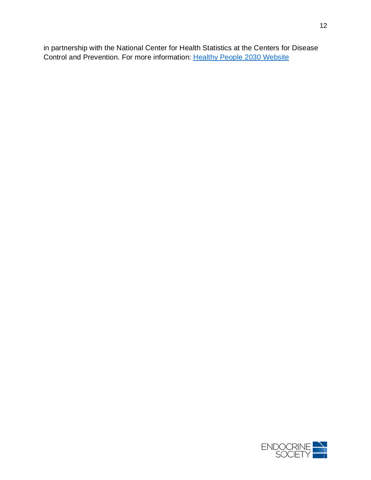in partnership with the National Center for Health Statistics at the Centers for Disease Control and Prevention. For more information: [Healthy People 2030 Website](https://health.gov/healthypeople)

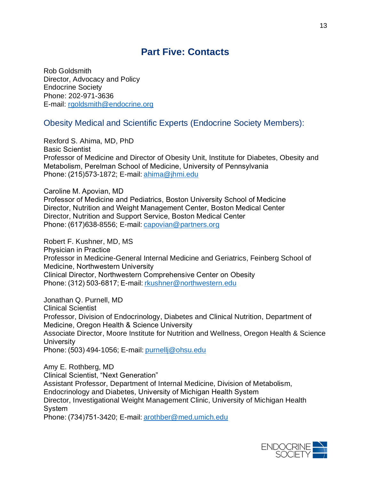# **Part Five: Contacts**

<span id="page-12-0"></span>Rob Goldsmith Director, Advocacy and Policy Endocrine Society Phone: 202-971-3636 E-mail: [rgoldsmith@endocrine.org](mailto:rgoldsmith@endocrine.org) 

#### <span id="page-12-1"></span>Obesity Medical and Scientific Experts (Endocrine Society Members):

Rexford S. Ahima, MD, PhD Basic Scientist  Professor of Medicine and Director of Obesity Unit, Institute for Diabetes, Obesity and Metabolism, Perelman School of Medicine, University of Pennsylvania  Phone: (215)573-1872; E-mail: [ahima@jhmi.edu](mailto:ahima@jhmi.edu)  

Caroline M. Apovian, MD Professor of Medicine and Pediatrics, Boston University School of Medicine  Director, Nutrition and Weight Management Center, Boston Medical Center  Director, Nutrition and Support Service, Boston Medical Center  Phone: (617)638-8556; E-mail: [capovian@partners.org](mailto:capovian@partners.org)  

Robert F. Kushner, MD, MS Physician in Practice  Professor in Medicine-General Internal Medicine and Geriatrics, Feinberg School of Medicine, Northwestern University  Clinical Director, Northwestern Comprehensive Center on Obesity   Phone: (312) 503-6817; E-mail: [rkushner@northwestern.edu](mailto:rkushner@northwestern.edu)  

Jonathan Q. Purnell, MD Clinical Scientist  Professor, Division of Endocrinology, Diabetes and Clinical Nutrition, Department of Medicine, Oregon Health & Science University  Associate Director, Moore Institute for Nutrition and Wellness, Oregon Health & Science **University** Phone: (503) 494-1056; E-mail: [purnellj@ohsu.edu](mailto:purnellj@ohsu.edu)

Amy E. Rothberg, MD Clinical Scientist, "Next Generation"  Assistant Professor, Department of Internal Medicine, Division of Metabolism, Endocrinology and Diabetes, University of Michigan Health System  Director, Investigational Weight Management Clinic, University of Michigan Health System 

Phone: (734)751-3420; E-mail: [arothber@med.umich.edu](mailto:arothber@med.umich.edu)  

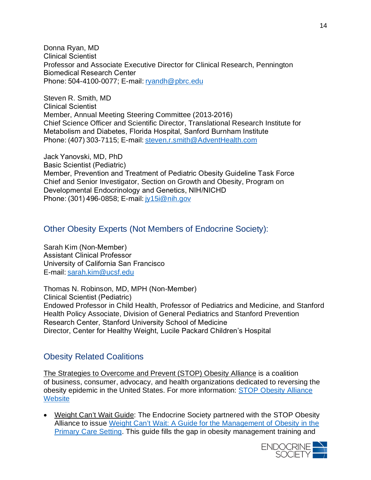Donna Ryan, MD Clinical Scientist  Professor and Associate Executive Director for Clinical Research, Pennington Biomedical Research Center  Phone: 504-4100-0077; E-mail: [ryandh@pbrc.edu](mailto:ryandh@pbrc.edu)  

Steven R. Smith, MD Clinical Scientist  Member, Annual Meeting Steering Committee (2013-2016)  Chief Science Officer and Scientific Director, Translational Research Institute for Metabolism and Diabetes, Florida Hospital, Sanford Burnham Institute  Phone: (407) 303-7115; E-mail: [steven.r.smith@AdventHealth.com](mailto:steven.r.smith@AdventHealth.com)  

Jack Yanovski, MD, PhD Basic Scientist (Pediatric)  Member, Prevention and Treatment of Pediatric Obesity Guideline Task Force  Chief and Senior Investigator, Section on Growth and Obesity, Program on Developmental Endocrinology and Genetics, NIH/NICHD  Phone: (301) 496-0858; E-mail: [jy15i@nih.gov](mailto:jy15i@nih.gov)  

#### <span id="page-13-0"></span>Other Obesity Experts (Not Members of Endocrine Society):

Sarah Kim (Non-Member)  Assistant Clinical Professor  University of California San Francisco  E-mail: [sarah.kim@ucsf.edu](mailto:sarah.kim@ucsf.edu)  

Thomas N. Robinson, MD, MPH (Non-Member)  Clinical Scientist (Pediatric)  Endowed Professor in Child Health, Professor of Pediatrics and Medicine, and Stanford Health Policy Associate, Division of General Pediatrics and Stanford Prevention Research Center, Stanford University School of Medicine  Director, Center for Healthy Weight, Lucile Packard Children's Hospital 

#### <span id="page-13-1"></span>Obesity Related Coalitions

The Strategies to Overcome and Prevent (STOP) Obesity Alliance is a coalition of business, consumer, advocacy, and health organizations dedicated to reversing the obesity epidemic in the United States. For more information: [STOP Obesity Alliance](http://stop.publichealth.gwu.edu/)  **[Website](http://stop.publichealth.gwu.edu/)** 

• Weight Can't Wait Guide: The Endocrine Society partnered with the STOP Obesity Alliance to issue [Weight Can't Wait: A Guide for the Management of Obesity in the](https://stop.publichealth.gwu.edu/wcw)  [Primary Care Setting.](https://stop.publichealth.gwu.edu/wcw) This guide fills the gap in obesity management training and